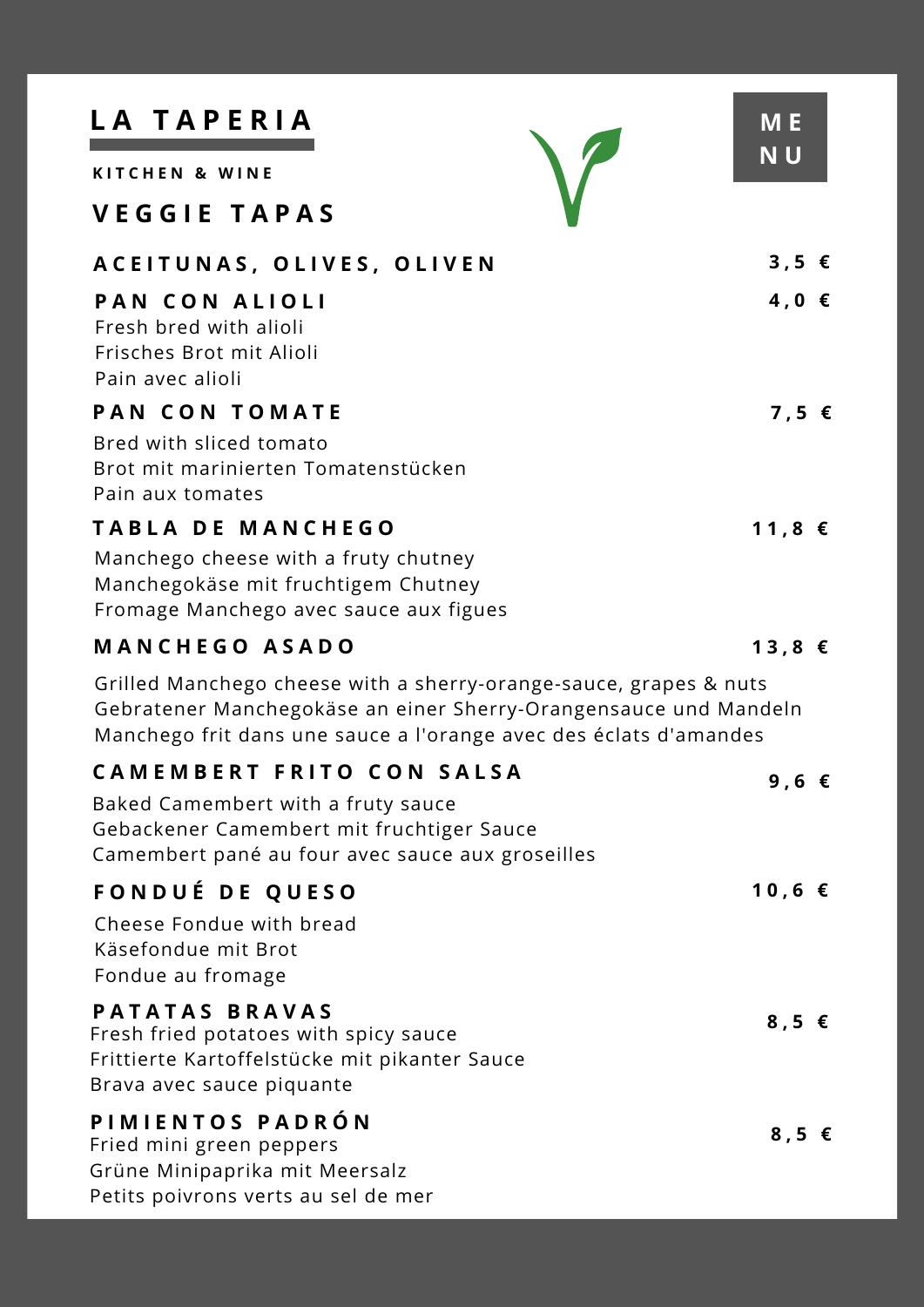**K I T C H E N & W I N E**

#### **V E G G I E T A P A S**

| ACEITUNAS, OLIVES, OLIVEN                                                                       | $3,5 \in$      |
|-------------------------------------------------------------------------------------------------|----------------|
| <b>PAN CON ALIOLI</b><br>Fresh bred with alioli<br>Frisches Brot mit Alioli<br>Pain avec alioli | 4,0 $\epsilon$ |
| <b>PAN CON TOMATE</b>                                                                           | 7,5 $\epsilon$ |
| Bred with sliced tomato                                                                         |                |
| Brot mit marinierten Tomatenstücken                                                             |                |
| Pain aux tomates                                                                                |                |

**M E**

**N U**

**1 1 , 8 €**

**T A B L A D E M A N C H E G O**

Manchego cheese with a fruty chutney Manchegokäse mit fruchtigem Chutney Fromage Manchego avec sauce aux figues

**C A M E M B E R T F R I T O C O N S A L S A**

# **M A N C H E G O A S A D O 1 3 , 8 €**

Grilled Manchego cheese with a sherry-orange-sauce, grapes & nuts Gebratener Manchegokäse an einer Sherry-Orangensauce und Mandeln Manchego frit dans une sauce a l'orange avec des éclats d'amandes

| CAMEMBERI FRIIO CON SALSA                                                                                                                    | 9,6 $\epsilon$ |
|----------------------------------------------------------------------------------------------------------------------------------------------|----------------|
| Baked Camembert with a fruty sauce<br>Gebackener Camembert mit fruchtiger Sauce<br>Camembert pané au four avec sauce aux groseilles          |                |
| <b>FONDUÉ DE QUESO</b>                                                                                                                       | $10,6$ €       |
| Cheese Fondue with bread<br>Käsefondue mit Brot<br>Fondue au fromage                                                                         |                |
| <b>PATATAS BRAVAS</b><br>Fresh fried potatoes with spicy sauce<br>Frittierte Kartoffelstücke mit pikanter Sauce<br>Brava avec sauce piquante | 8,5 $\epsilon$ |
| PIMIENTOS PADRÓN<br>Fried mini green peppers<br>Grüne Minipaprika mit Meersalz<br>Petits poivrons verts au sel de mer                        | 8,5 $\epsilon$ |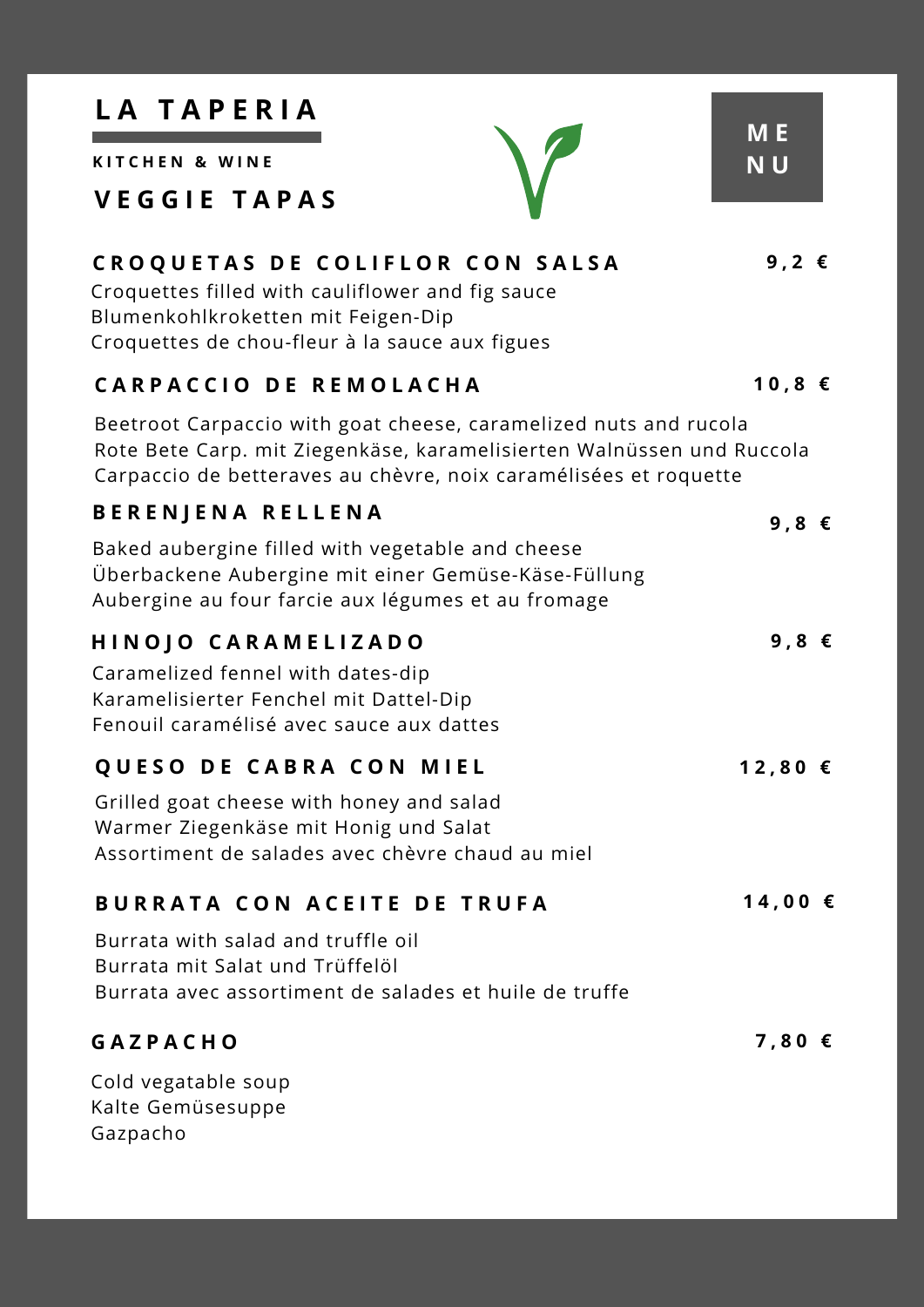#### **K I T C H E N & W I N E**

### **V E G G I E T A P A S**

a sa nasa

| CROQUETAS DE COLIFLOR CON SALSA<br>Croquettes filled with cauliflower and fig sauce<br>Blumenkohlkroketten mit Feigen-Dip<br>Croquettes de chou-fleur à la sauce aux figues                                   | 9,2 $\epsilon$ |  |
|---------------------------------------------------------------------------------------------------------------------------------------------------------------------------------------------------------------|----------------|--|
| CARPACCIO DE REMOLACHA                                                                                                                                                                                        | $10,8 \in$     |  |
| Beetroot Carpaccio with goat cheese, caramelized nuts and rucola<br>Rote Bete Carp. mit Ziegenkäse, karamelisierten Walnüssen und Ruccola<br>Carpaccio de betteraves au chèvre, noix caramélisées et roquette |                |  |
| <b>BERENJENA RELLENA</b>                                                                                                                                                                                      | 9,8 $\epsilon$ |  |
| Baked aubergine filled with vegetable and cheese<br>Überbackene Aubergine mit einer Gemüse-Käse-Füllung<br>Aubergine au four farcie aux légumes et au fromage                                                 |                |  |
| HINOJO CARAMELIZADO<br>Caramelized fennel with dates-dip<br>Karamelisierter Fenchel mit Dattel-Dip<br>Fenouil caramélisé avec sauce aux dattes                                                                | 9,8 $\epsilon$ |  |
| QUESO DE CABRA CON MIEL                                                                                                                                                                                       | 12,80€         |  |
| Grilled goat cheese with honey and salad<br>Warmer Ziegenkäse mit Honig und Salat<br>Assortiment de salades avec chèvre chaud au miel                                                                         |                |  |
| BURRATA CON ACEITE DE TRUFA                                                                                                                                                                                   | 14,00€         |  |
| Burrata with salad and truffle oil<br>Burrata mit Salat und Trüffelöl<br>Burrata avec assortiment de salades et huile de truffe                                                                               |                |  |
| <b>GAZPACHO</b>                                                                                                                                                                                               | 7,80 €         |  |
| Cold vegatable soup<br>Kalte Gemüsesuppe<br>Gazpacho                                                                                                                                                          |                |  |

**M E N U**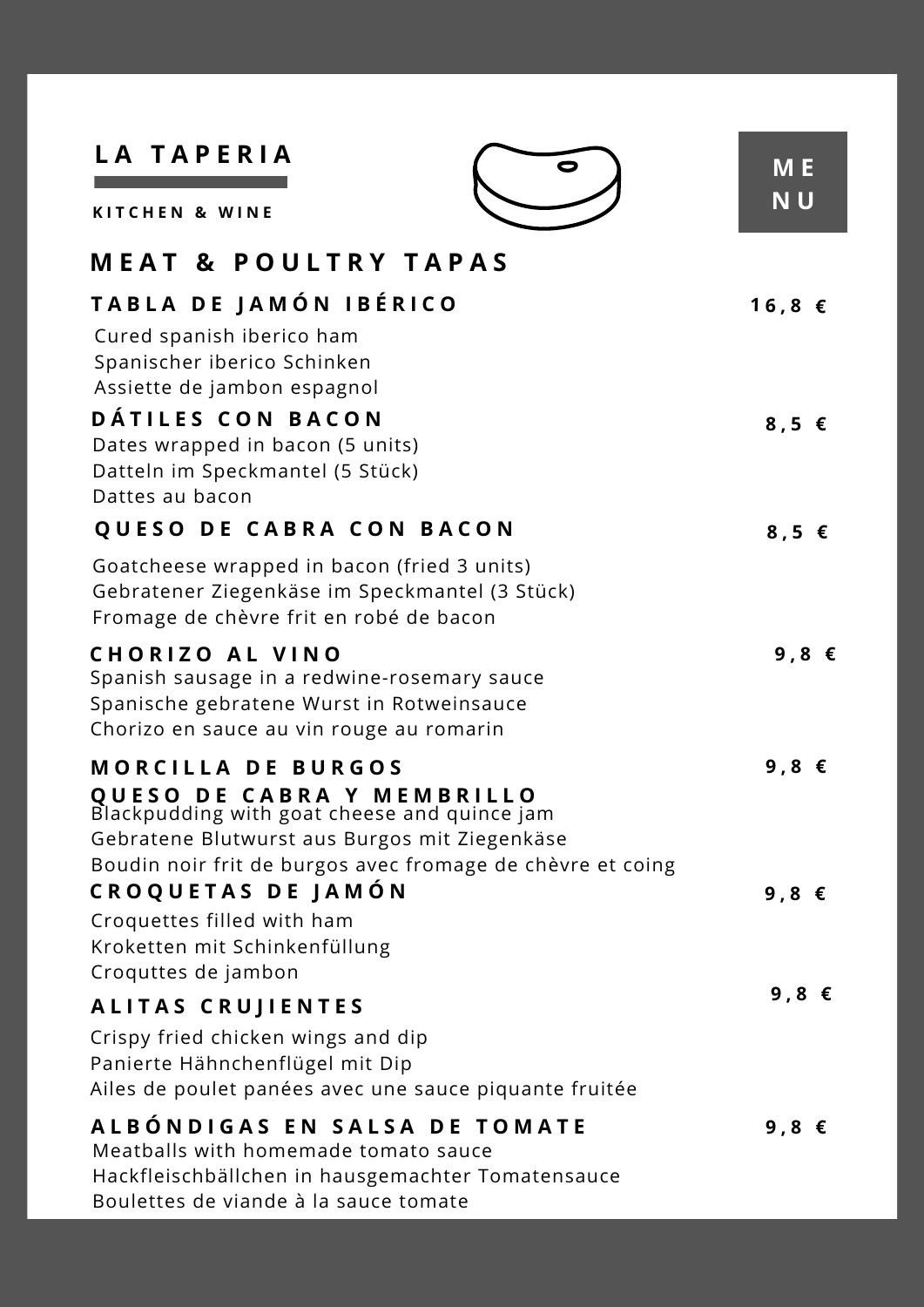| LA TAPERIA<br><b>KITCHEN &amp; WINE</b>                                                                                                                             | M E<br>NU      |
|---------------------------------------------------------------------------------------------------------------------------------------------------------------------|----------------|
| <b>MEAT &amp; POULTRY TAPAS</b>                                                                                                                                     |                |
| TABLA DE JAMÓN IBÉRICO<br>Cured spanish iberico ham<br>Spanischer iberico Schinken                                                                                  | $16,8$ €       |
| Assiette de jambon espagnol<br>DÁTILES CON BACON<br>Dates wrapped in bacon (5 units)<br>Datteln im Speckmantel (5 Stück)<br>Dattes au bacon                         | 8,5 $\epsilon$ |
| QUESO DE CABRA CON BACON                                                                                                                                            | 8,5 $\epsilon$ |
| Goatcheese wrapped in bacon (fried 3 units)<br>Gebratener Ziegenkäse im Speckmantel (3 Stück)<br>Fromage de chèvre frit en robé de bacon                            |                |
| <b>CHORIZO AL VINO</b><br>Spanish sausage in a redwine-rosemary sauce<br>Spanische gebratene Wurst in Rotweinsauce<br>Chorizo en sauce au vin rouge au romarin      | 9,8 $\epsilon$ |
| <b>MORCILLA DE BURGOS</b><br>QUESO DE CABRA Y MEMBRILLO<br>Blackpudding with goat cheese and quince jam<br>Gebratene Blutwurst aus Burgos mit Ziegenkäse            | 9,8            |
| Boudin noir frit de burgos avec fromage de chèvre et coing<br>CROQUETAS DE JAMÓN<br>Croquettes filled with ham<br>Kroketten mit Schinkenfüllung                     | 9,8 $\epsilon$ |
| Croquttes de jambon                                                                                                                                                 | 9,8 $\epsilon$ |
| <b>ALITAS CRUJIENTES</b><br>Crispy fried chicken wings and dip<br>Panierte Hähnchenflügel mit Dip<br>Ailes de poulet panées avec une sauce piquante fruitée         |                |
| ALBÓNDIGAS EN SALSA DE TOMATE<br>Meatballs with homemade tomato sauce<br>Hackfleischbällchen in hausgemachter Tomatensauce<br>Boulettes de viande à la sauce tomate | 9,8 $\epsilon$ |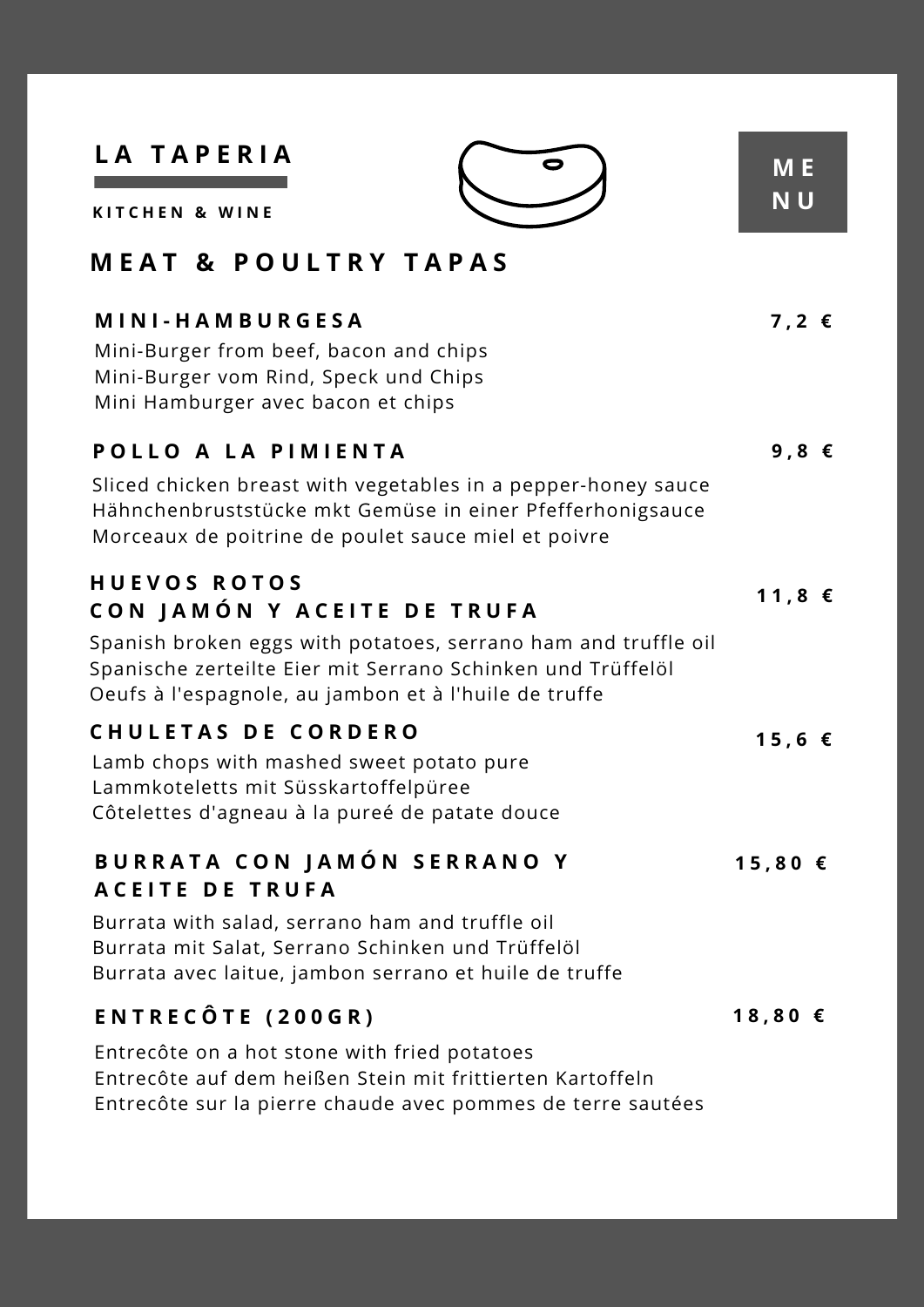**K I T C H E N & W I N E**

### **M E A T & P O U L T R Y T A P A S**

| MINI-HAMBURGESA<br>Mini-Burger from beef, bacon and chips<br>Mini-Burger vom Rind, Speck und Chips<br>Mini Hamburger avec bacon et chips                                                                                                     | $7,2 \in$      |
|----------------------------------------------------------------------------------------------------------------------------------------------------------------------------------------------------------------------------------------------|----------------|
| POLLO A LA PIMIENTA<br>Sliced chicken breast with vegetables in a pepper-honey sauce<br>Hähnchenbruststücke mkt Gemüse in einer Pfefferhonigsauce<br>Morceaux de poitrine de poulet sauce miel et poivre                                     | 9,8 $\epsilon$ |
| <b>HUEVOS ROTOS</b><br>CON JAMÓN Y ACEITE DE TRUFA<br>Spanish broken eggs with potatoes, serrano ham and truffle oil<br>Spanische zerteilte Eier mit Serrano Schinken und Trüffelöl<br>Oeufs à l'espagnole, au jambon et à l'huile de truffe | 11,8 €         |
| <b>CHULETAS DE CORDERO</b><br>Lamb chops with mashed sweet potato pure<br>Lammkoteletts mit Süsskartoffelpüree<br>Côtelettes d'agneau à la pureé de patate douce                                                                             | 15,6€          |
| BURRATA CON JAMÓN SERRANO Y<br><b>ACEITE DE TRUFA</b><br>Burrata with salad, serrano ham and truffle oil<br>Burrata mit Salat, Serrano Schinken und Trüffelöl<br>Burrata avec laitue, jambon serrano et huile de truffe                      | 15,80€         |
| ENTRECÔTE (200GR)<br>Entrecôte on a hot stone with fried potatoes<br>Entrecôte auf dem heißen Stein mit frittierten Kartoffeln                                                                                                               | 18,80€         |

 $\overline{\bullet}$ 

Entrecôte sur la pierre chaude avec pommes de terre sautées

**M E N U**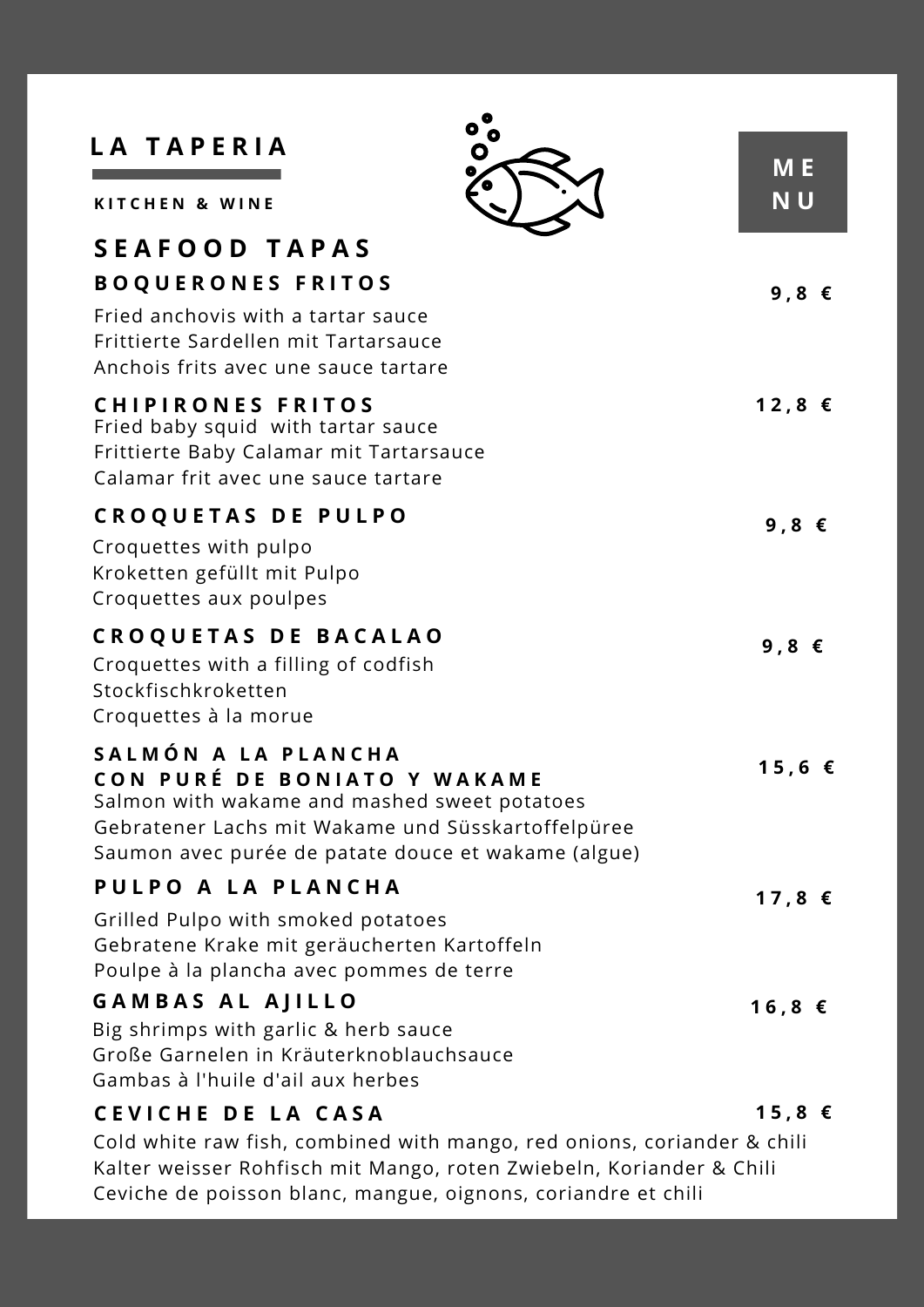| LA TAPERIA<br>O                                                                                                                                                                                                  |                  |
|------------------------------------------------------------------------------------------------------------------------------------------------------------------------------------------------------------------|------------------|
| <b>KITCHEN &amp; WINE</b>                                                                                                                                                                                        | M E<br><b>NU</b> |
| <b>SEAFOOD TAPAS</b>                                                                                                                                                                                             |                  |
| <b>BOQUERONES FRITOS</b>                                                                                                                                                                                         | 9,8 $\epsilon$   |
| Fried anchovis with a tartar sauce<br>Frittierte Sardellen mit Tartarsauce<br>Anchois frits avec une sauce tartare                                                                                               |                  |
| <b>CHIPIRONES FRITOS</b><br>Fried baby squid with tartar sauce<br>Frittierte Baby Calamar mit Tartarsauce<br>Calamar frit avec une sauce tartare                                                                 | $12,8$ €         |
| CROQUETAS DE PULPO                                                                                                                                                                                               | 9,8 $\epsilon$   |
| Croquettes with pulpo<br>Kroketten gefüllt mit Pulpo<br>Croquettes aux poulpes                                                                                                                                   |                  |
| CROQUETAS DE BACALAO<br>Croquettes with a filling of codfish<br>Stockfischkroketten<br>Croquettes à la morue                                                                                                     | 9,8 $\epsilon$   |
| SALMÓN A LA PLANCHA<br>CON PURÉ DE BONIATO Y WAKAME<br>Salmon with wakame and mashed sweet potatoes<br>Gebratener Lachs mit Wakame und Süsskartoffelpüree<br>Saumon avec purée de patate douce et wakame (algue) | 15,6€            |
| PULPO A LA PLANCHA                                                                                                                                                                                               | $17,8$ €         |
| Grilled Pulpo with smoked potatoes<br>Gebratene Krake mit geräucherten Kartoffeln<br>Poulpe à la plancha avec pommes de terre                                                                                    |                  |
| <b>GAMBAS AL AJILLO</b>                                                                                                                                                                                          | $16,8$ €         |
| Big shrimps with garlic & herb sauce<br>Große Garnelen in Kräuterknoblauchsauce<br>Gambas à l'huile d'ail aux herbes                                                                                             |                  |
| CEVICHE DE LA CASA                                                                                                                                                                                               | $15,8$ €         |

Cold white raw fish, combined with mango, red onions, coriander & chili Kalter weisser Rohfisch mit Mango, roten Zwiebeln, Koriander & Chili Ceviche de poisson blanc, mangue, oignons, coriandre et chili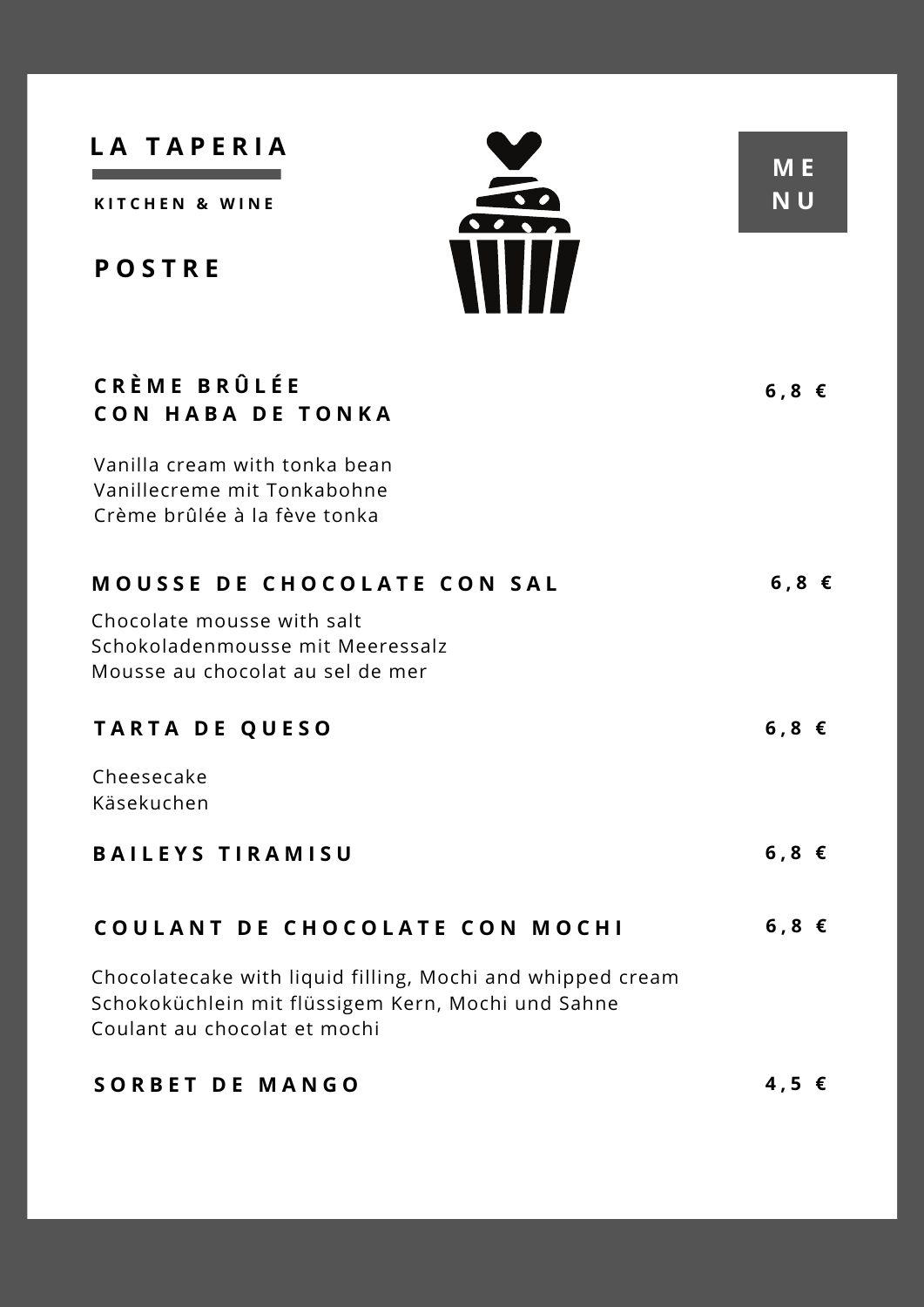#### **L A T A P E R I A** and the control of the control of the

**K I T C H E N & W I N E**

**P O S T R E**



**M E N U**

| CRÈME BRÛLÉE<br><b>CON HABA DE TONKA</b>                                                                                                         | $6,8 \in$      |
|--------------------------------------------------------------------------------------------------------------------------------------------------|----------------|
| Vanilla cream with tonka bean<br>Vanillecreme mit Tonkabohne<br>Crème brûlée à la fève tonka                                                     |                |
| <b>MOUSSE DE CHOCOLATE CON SAL</b>                                                                                                               | 6,8€           |
| Chocolate mousse with salt<br>Schokoladenmousse mit Meeressalz<br>Mousse au chocolat au sel de mer                                               |                |
| <b>TARTA DE QUESO</b>                                                                                                                            | $6,8 \in$      |
| Cheesecake<br>Käsekuchen                                                                                                                         |                |
| <b>BAILEYS TIRAMISU</b>                                                                                                                          | $6,8 \in$      |
| COULANT DE CHOCOLATE CON MOCHI                                                                                                                   | $6,8 \in$      |
| Chocolatecake with liquid filling, Mochi and whipped cream<br>Schokoküchlein mit flüssigem Kern, Mochi und Sahne<br>Coulant au chocolat et mochi |                |
| SORBET DE MANGO                                                                                                                                  | $4,5 \epsilon$ |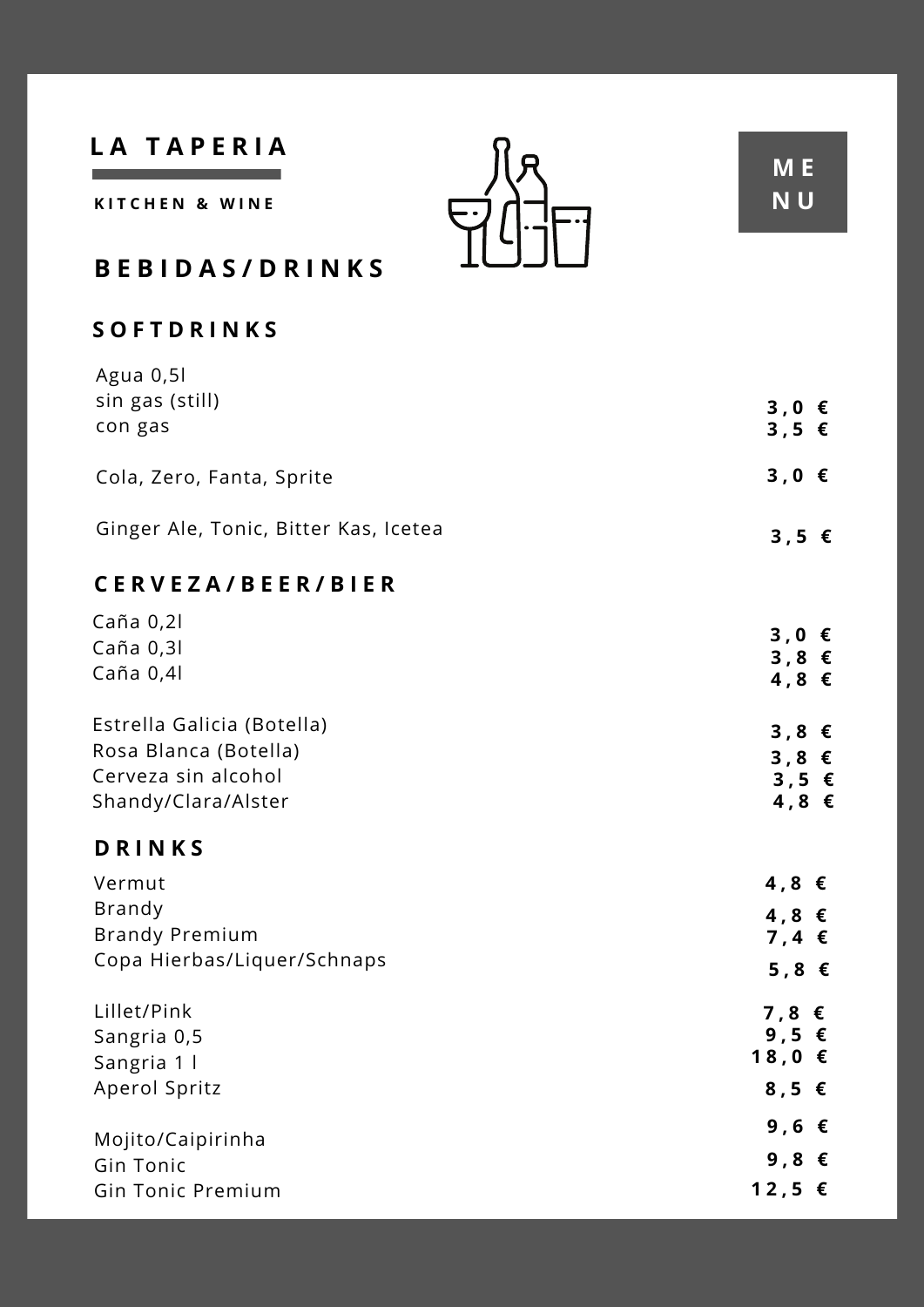## **L A T A P E R I A**

**K I T C H E N & W I N E**

an an Salaman.<br>Tagairtí



**B E B I D A S / D R I N K S**

#### **S O F T D R I N K S**

| Agua 0,51                                                                                         |                                                                      |   |
|---------------------------------------------------------------------------------------------------|----------------------------------------------------------------------|---|
| sin gas (still)<br>con gas                                                                        | $3,0 \in$<br>$3,5$ $\epsilon$                                        |   |
| Cola, Zero, Fanta, Sprite                                                                         | $3,0 \in$                                                            |   |
| Ginger Ale, Tonic, Bitter Kas, Icetea                                                             | $3,5 \in$                                                            |   |
| CERVEZA/BEER/BIER                                                                                 |                                                                      |   |
| Caña 0,2l<br>Caña 0,3l<br>Caña 0,4l                                                               | $3,0$ $\epsilon$<br>$3,8 \in$<br>4,8 $\epsilon$                      |   |
| Estrella Galicia (Botella)<br>Rosa Blanca (Botella)<br>Cerveza sin alcohol<br>Shandy/Clara/Alster | $3,8 \in$<br>$3,8 \in$<br>$3,5$ $\epsilon$<br>4,8 €                  |   |
| <b>DRINKS</b>                                                                                     |                                                                      |   |
| Vermut<br><b>Brandy</b><br><b>Brandy Premium</b><br>Copa Hierbas/Liquer/Schnaps                   | 4,8 $\epsilon$<br>4,8 $\epsilon$<br>7,4 $\epsilon$<br>5,8 $\epsilon$ |   |
| Lillet/Pink<br>Sangria 0,5<br>Sangria 1 l<br>Aperol Spritz                                        | $7,8$ €<br>9,5 $\epsilon$<br>$18,0$ €<br>8,5 $\epsilon$              |   |
| Mojito/Caipirinha<br>Gin Tonic<br>Gin Tonic Premium                                               | 9,6<br>9,8 $\epsilon$<br>12,5€                                       | € |

**M E N U**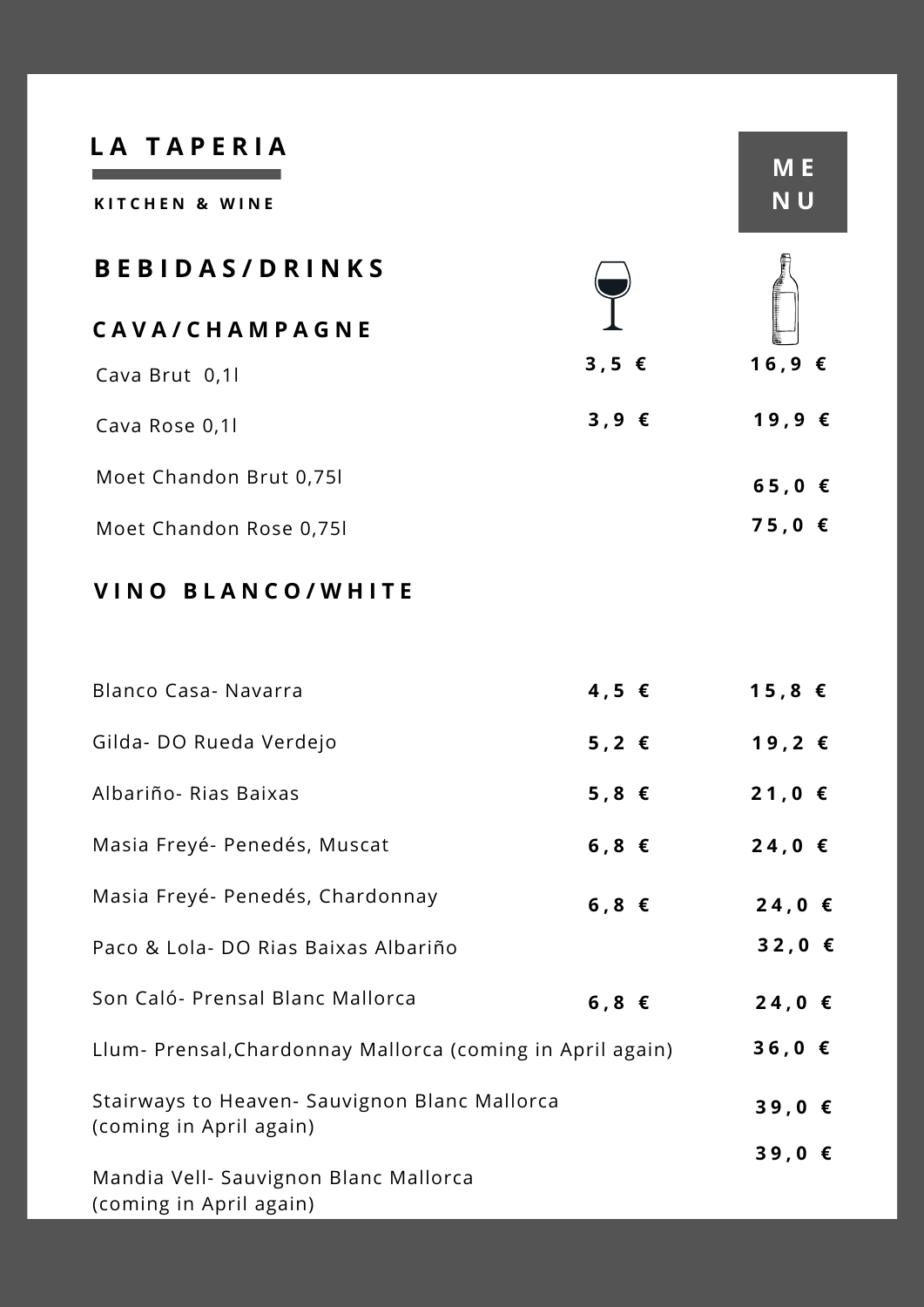**K I T C H E N & W I N E B E B I D A S / D R I N K S C A V A / C H A M P A G N E**

Cava Brut 0,1l Cava Rose 0,1l Moet Chandon Brut 0,75l Moet Chandon Rose 0,75l **3 , 5 € 3 , 9 € 1 6 , 9 € 1 9 , 9 € 6 5 , 0 € 7 5 , 0 €**

**M E**

**N U**

#### **V I N O B L A N C O / W H I T E**

| Blanco Casa- Navarra                                                     | 4,5 $\epsilon$ | $15,8 \in$  |
|--------------------------------------------------------------------------|----------------|-------------|
| Gilda- DO Rueda Verdejo                                                  | 5,2 $\epsilon$ | $19, 2 \in$ |
| Albariño- Rias Baixas                                                    | 5,8 $\epsilon$ | 21,0€       |
| Masia Freyé- Penedés, Muscat                                             | $6,8 \in$      | 24,0€       |
| Masia Freyé- Penedés, Chardonnay                                         | $6,8 \in$      | 24,0€       |
| Paco & Lola- DO Rias Baixas Albariño                                     |                | 32,0€       |
| Son Caló- Prensal Blanc Mallorca                                         | $6,8 \in$      | 24,0€       |
| Llum- Prensal, Chardonnay Mallorca (coming in April again)               |                | $36,0$ €    |
| Stairways to Heaven- Sauvignon Blanc Mallorca<br>(coming in April again) |                | 39,0€       |
|                                                                          |                | 39,0€       |
| Mandia Vell- Sauvignon Blanc Mallorca                                    |                |             |
| (coming in April again)                                                  |                |             |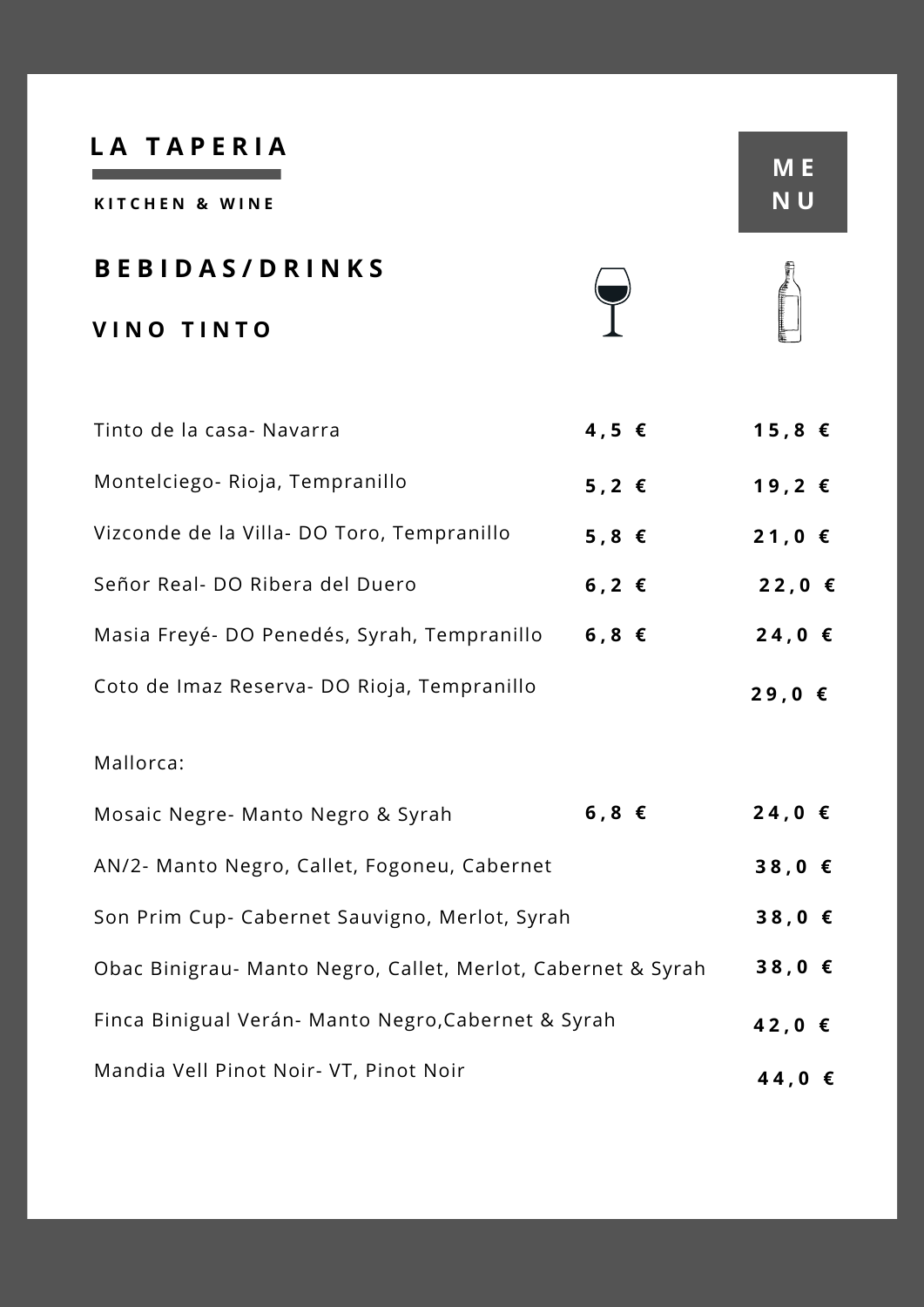**K I T C H E N & W I N E**

| <b>BEBIDAS/DRINKS</b> | f<br>E I |
|-----------------------|----------|
| VINO TINTO            | E        |

**M E**

**N U**

| Tinto de la casa- Navarra                      | 4,5 $\epsilon$ | $15,8 \in$        |  |
|------------------------------------------------|----------------|-------------------|--|
| Montelciego-Rioja, Tempranillo                 | 5,2 $\epsilon$ | $19, 2 \in$       |  |
| Vizconde de la Villa- DO Toro, Tempranillo     | 5,8 $\epsilon$ | $21,0$ €          |  |
| Señor Real- DO Ribera del Duero                | $6, 2 \in$     | 22,0€             |  |
| Masia Freyé- DO Penedés, Syrah, Tempranillo    | $6,8 \in$      | 24,0€             |  |
| Coto de Imaz Reserva- DO Rioja, Tempranillo    |                | $29,0$ €          |  |
| Mallorca:                                      |                |                   |  |
| Mosaic Negre- Manto Negro & Syrah              | $6,8 \in$      | 24,0€             |  |
| AN/2- Manto Negro, Callet, Fogoneu, Cabernet   |                | $38,0$ $\epsilon$ |  |
| Son Prim Cup- Cabernet Sauvigno, Merlot, Syrah |                | $38,0 \in$        |  |
|                                                |                |                   |  |

Obac Binigrau- Manto Negro, Callet, Merlot, Cabernet & Syrah Finca Binigual Verán- Manto Negro,Cabernet & Syrah Mandia Vell Pinot Noir- VT, Pinot Noir **4 4 , 0 € 4 2 , 0 € 3 8 , 0 €**